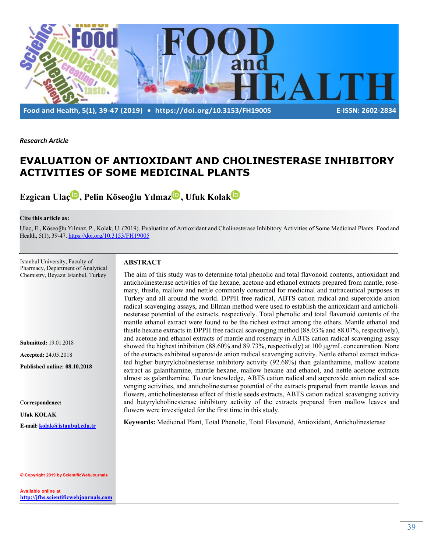

*Research Article*

# **EVALUATION OF ANTIOXIDANT AND CHOLINESTERASE INHIBITORY ACTIVITIES OF SOME MEDICINAL PLANTS**

**Ezgican Ula[ç](http://orcid.org/0000-0002-5863-2962) , Pelin Köseoğlu Yılmaz , Ufuk Kola[k](http://orcid.org/0000-0002-0339-635X)**

#### **Cite this article as:**

Ulaç, E., Köseoğlu Yılmaz, P., Kolak, U. (2019). Evaluation of Antioxidant and Cholinesterase Inhibitory Activities of Some Medicinal Plants. Food and Health, 5(1), 39-47. <https://doi.org/10.3153/FH19005>

Istanbul University, Faculty of Pharmacy, Department of Analytical Chemistry, Beyazıt Istanbul, Turkey

**Submitted:** 19.01.2018

**Accepted:** 24.05.2018

**Published online: 08.10.2018**

C**orrespondence:** 

**Ufuk KOLAK** 

**E-mail: [kolak@istanbul.e](mailto:kolak@istanbul.)du.tr**

#### **© Copyright 2019 by ScientificWebJournals**

**Available online at [http://jfhs.scientificwebjournals.com](http://jfhs.scientificwebjournals.com/)** 

### **ABSTRACT**

The aim of this study was to determine total phenolic and total flavonoid contents, antioxidant and anticholinesterase activities of the hexane, acetone and ethanol extracts prepared from mantle, rosemary, thistle, mallow and nettle commonly consumed for medicinal and nutraceutical purposes in Turkey and all around the world. DPPH free radical, ABTS cation radical and superoxide anion radical scavenging assays, and Ellman method were used to establish the antioxidant and anticholinesterase potential of the extracts, respectively. Total phenolic and total flavonoid contents of the mantle ethanol extract were found to be the richest extract among the others. Mantle ethanol and thistle hexane extracts in DPPH free radical scavenging method (88.03% and 88.07%, respectively), and acetone and ethanol extracts of mantle and rosemary in ABTS cation radical scavenging assay showed the highest inhibition (88.60% and 89.73%, respectively) at 100 μg/mL concentration. None of the extracts exhibited superoxide anion radical scavenging activity. Nettle ethanol extract indicated higher butyrylcholinesterase inhibitory activity (92.68%) than galanthamine, mallow acetone extract as galanthamine, mantle hexane, mallow hexane and ethanol, and nettle acetone extracts almost as galanthamine. To our knowledge, ABTS cation radical and superoxide anion radical scavenging activities, and anticholinesterase potential of the extracts prepared from mantle leaves and flowers, anticholinesterase effect of thistle seeds extracts, ABTS cation radical scavenging activity and butyrylcholinesterase inhibitory activity of the extracts prepared from mallow leaves and flowers were investigated for the first time in this study.

**Keywords:** Medicinal Plant, Total Phenolic, Total Flavonoid, Antioxidant, Anticholinesterase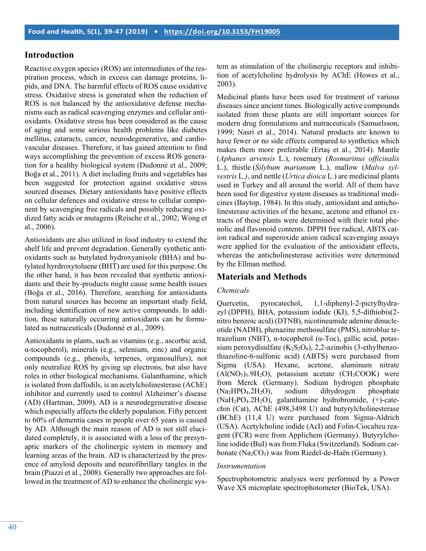### **Introduction**

Reactive oxygen species (ROS) are intermediates of the respiration process, which in excess can damage proteins, lipids, and DNA. The harmful effects of ROS cause oxidative stress. Oxidative stress is generated when the reduction of ROS is not balanced by the antioxidative defense mechanisms such as radical scavenging enzymes and cellular antioxidants. Oxidative stress has been considered as the cause of aging and some serious health problems like diabetes mellitus, cataracts, cancer, neurodegenerative, and cardiovascular diseases. Therefore, it has gained attention to find ways accomplishing the prevention of excess ROS generation for a healthy biological system (Dudonné et al., 2009; Boğa et al., 2011). A diet including fruits and vegetables has been suggested for protection against oxidative stress sourced diseases. Dietary antioxidants have positive effects on cellular defences and oxidative stress to cellular component by scavenging free radicals and possibly reducing oxidized fatty acids or mutagens (Reische et al., 2002; Wong et al., 2006).

Antioxidants are also utilized in food industry to extend the shelf life and prevent degradation. Generally synthetic antioxidants such as butylated hydroxyanisole (BHA) and butylated hyrdroxytoluene (BHT) are used for this purpose. On the other hand, it has been revealed that synthetic antioxidants and their by-products might cause some health issues (Boğa et al., 2016). Therefore, searching for antioxidants from natural sources has become an important study field, including identification of new active compounds. In addition, these naturally occurring antioxidants can be formulated as nutraceuticals (Dudonné et al., 2009).

Antioxidants in plants, such as vitamins (e.g., ascorbic acid, α-tocopherol), minerals (e.g., selenium, zinc) and organic compounds (e.g., phenols, terpenes, organosulfurs), not only neutralize ROS by giving up electrons, but also have roles in other biological mechanisms. Galanthamine, which is isolated from daffodils, is an acetylcholinesterase (AChE) inhibitor and currently used to control Alzheimer's disease (AD) (Hartman, 2009). AD is a neurodegenerative disease which especially affects the elderly population. Fifty percent to 60% of dementia cases in people over 65 years is caused by AD. Although the main reason of AD is not still elucidated completely, it is associated with a loss of the presynaptic markers of the cholinergic system in memory and learning areas of the brain. AD is characterized by the presence of amyloid deposits and neurofibrillary tangles in the brain (Piazzi et al., 2008). Generally two approaches are followed in the treatment of AD to enhance the cholinergic system as stimulation of the cholinergic receptors and inhibition of acetylcholine hydrolysis by AChE (Howes et al., 2003).

Medicinal plants have been used for treatment of various diseases since ancient times. Biologically active compounds isolated from these plants are still important sources for modern drug formulations and nutraceuticals (Samuelsson, 1999; Nasri et al., 2014). Natural products are known to have fewer or no side effects compared to synthetics which makes them more preferable (Ertaş et al., 2014). Mantle (*Aphanes arvensis* L.), rosemary (*Rosmarinus officinalis*  L.), thistle (*Silybum marianum* L.), mallow (*Malva sylvestris* L.*)*, and nettle (*Urtica dioica* L.) are medicinal plants used in Turkey and all around the world. All of them have been used for digestive system diseases as traditional medicines (Baytop, 1984). In this study, antioxidant and anticholinesterase activities of the hexane, acetone and ethanol extracts of these plants were determined with their total phenolic and flavonoid contents. DPPH free radical, ABTS cation radical and superoxide anion radical scavenging assays were applied for the evaluation of the antioxidant effects, whereas the anticholinesterase activities were determined by the Ellman method.

### **Materials and Methods**

### *Chemicals*

Quercetin, pyrocatechol, 1,1-diphenyl-2-picrylhydrazyl (DPPH), BHA, potassium iodide (KI), 5,5-dithiobis(2 nitro benzoic acid) (DTNB), nicotineamide adenine dinucleotide (NADH), phenazine methosulfate (PMS), nitroblue tetrazolium (NBT), α-tocopherol (α-Toc), gallic acid, potassium peroxydisulfate  $(K_2S_2O_8)$ , 2,2-azinobis (3-ethylbenzothiazoline-6-sulfonic acid) (ABTS) were purchased from Sigma (USA). Hexane, acetone, aluminum nitrate  $(AI(NO<sub>3</sub>)<sub>3</sub>.9H<sub>2</sub>O)$ , potassium acetate  $(CH<sub>3</sub>COOK)$  were from Merck (Germany). Sodium hydrogen phosphate (Na2HPO4.2H2O), sodium dihydrogen phosphate (NaH2PO4.2H2O), galanthamine hydrobromide, (+)-catechin (Cat), AChE (498,3498 U) and butyrylcholinesterase (BChE) (11,4 U) were purchased from Sigma-Aldrich (USA). Acetylcholine iodide (AcI) and Folin-Ciocalteu reagent (FCR) were from Applichem (Germany). Butyrylcholine iodide (BuI) was from Fluka (Switzerland). Sodium carbonate ( $Na<sub>2</sub>CO<sub>3</sub>$ ) was from Riedel-de-Haën (Germany).

#### *Instrumentation*

Spectrophotometric analyses were performed by a Power Wave XS microplate spectrophotometer (BioTek, USA).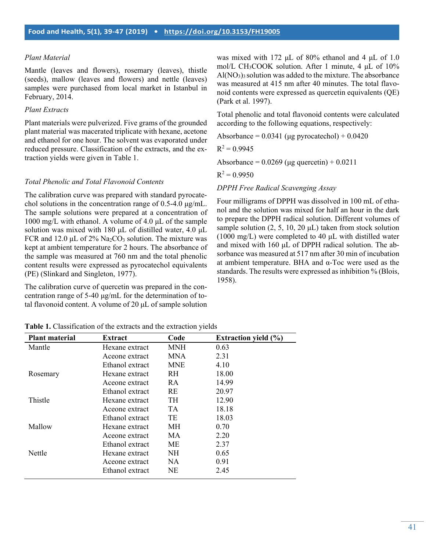### *Plant Material*

Mantle (leaves and flowers), rosemary (leaves), thistle (seeds), mallow (leaves and flowers) and nettle (leaves) samples were purchased from local market in Istanbul in February, 2014.

#### *Plant Extracts*

Plant materials were pulverized. Five grams of the grounded plant material was macerated triplicate with hexane, acetone and ethanol for one hour. The solvent was evaporated under reduced pressure. Classification of the extracts, and the extraction yields were given in Table 1.

#### *Total Phenolic and Total Flavonoid Contents*

The calibration curve was prepared with standard pyrocatechol solutions in the concentration range of 0.5-4.0 μg/mL. The sample solutions were prepared at a concentration of 1000 mg/L with ethanol. A volume of 4.0 μL of the sample solution was mixed with 180 μL of distilled water, 4.0 μL FCR and 12.0  $\mu$ L of 2% Na<sub>2</sub>CO<sub>3</sub> solution. The mixture was kept at ambient temperature for 2 hours. The absorbance of the sample was measured at 760 nm and the total phenolic content results were expressed as pyrocatechol equivalents (PE) (Slinkard and Singleton, 1977).

The calibration curve of quercetin was prepared in the concentration range of 5-40 μg/mL for the determination of total flavonoid content. A volume of 20 μL of sample solution

was mixed with 172 μL of 80% ethanol and 4 μL of 1.0 mol/L CH<sub>3</sub>COOK solution. After 1 minute, 4 μL of 10%  $A1(NO<sub>3</sub>)<sub>3</sub>$  solution was added to the mixture. The absorbance was measured at 415 nm after 40 minutes. The total flavonoid contents were expressed as quercetin equivalents (QE) (Park et al. 1997).

Total phenolic and total flavonoid contents were calculated according to the following equations, respectively:

Absorbance =  $0.0341$  (μg pyrocatechol) +  $0.0420$ 

$$
R^2 = 0.9945
$$

Absorbance =  $0.0269$  (µg quercetin) +  $0.0211$ 

 $R^2 = 0.9950$ 

*DPPH Free Radical Scavenging Assay*

Four milligrams of DPPH was dissolved in 100 mL of ethanol and the solution was mixed for half an hour in the dark to prepare the DPPH radical solution. Different volumes of sample solution  $(2, 5, 10, 20 \mu L)$  taken from stock solution (1000 mg/L) were completed to 40 μL with distilled water and mixed with 160 μL of DPPH radical solution. The absorbance was measured at 517 nm after 30 min of incubation at ambient temperature. BHA and α-Toc were used as the standards. The results were expressed as inhibition % (Blois, 1958).

|  |  |  |  |  |  |  |  |  |  |  | <b>Table 1.</b> Classification of the extracts and the extraction yields |  |  |
|--|--|--|--|--|--|--|--|--|--|--|--------------------------------------------------------------------------|--|--|
|--|--|--|--|--|--|--|--|--|--|--|--------------------------------------------------------------------------|--|--|

| <b>Plant material</b> | Extract         | Code       | Extraction yield $(\% )$ |
|-----------------------|-----------------|------------|--------------------------|
| Mantle                | Hexane extract  | <b>MNH</b> | 0.63                     |
|                       | Aceone extract  | <b>MNA</b> | 2.31                     |
|                       | Ethanol extract | <b>MNE</b> | 4.10                     |
| Rosemary              | Hexane extract  | RH.        | 18.00                    |
|                       | Aceone extract  | <b>RA</b>  | 14.99                    |
|                       | Ethanol extract | <b>RE</b>  | 20.97                    |
| Thistle               | Hexane extract  | <b>TH</b>  | 12.90                    |
|                       | Aceone extract  | TA.        | 18.18                    |
|                       | Ethanol extract | TE         | 18.03                    |
| Mallow                | Hexane extract  | МH         | 0.70                     |
|                       | Aceone extract  | MA.        | 2.20                     |
|                       | Ethanol extract | МE         | 2.37                     |
| Nettle                | Hexane extract  | NH.        | 0.65                     |
|                       | Aceone extract  | NA.        | 0.91                     |
|                       | Ethanol extract | <b>NE</b>  | 2.45                     |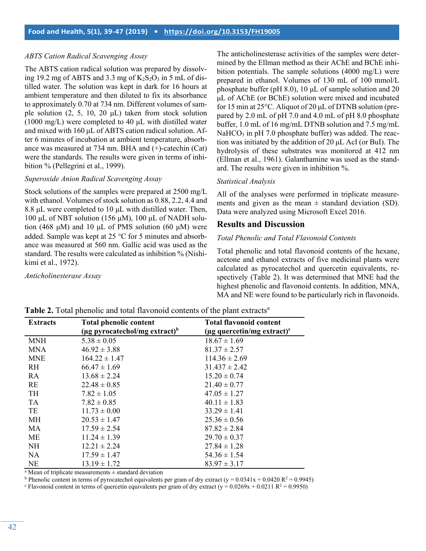### *ABTS Cation Radical Scavenging Assay*

The ABTS cation radical solution was prepared by dissolving 19.2 mg of ABTS and 3.3 mg of  $K_2S_2O_3$  in 5 mL of distilled water. The solution was kept in dark for 16 hours at ambient temperature and then diluted to fix its absorbance to approximately 0.70 at 734 nm. Different volumes of sample solution  $(2, 5, 10, 20 \mu L)$  taken from stock solution (1000 mg/L) were completed to 40 μL with distilled water and mixed with 160 μL of ABTS cation radical solution. After 6 minutes of incubation at ambient temperature, absorbance was measured at 734 nm. BHA and (+)-catechin (Cat) were the standards. The results were given in terms of inhibition % (Pellegrini et al., 1999).

#### *Superoxide Anion Radical Scavenging Assay*

Stock solutions of the samples were prepared at 2500 mg/L with ethanol. Volumes of stock solution as 0.88, 2.2, 4.4 and 8.8 μL were completed to 10 μL with distilled water. Then, 100 μL of NBT solution (156 μM), 100 μL of NADH solution (468 μM) and 10 μL of PMS solution (60 μM) were added. Sample was kept at 25 °C for 5 minutes and absorbance was measured at 560 nm. Gallic acid was used as the standard. The results were calculated as inhibition % (Nishikimi et al., 1972).

*Anticholinesterase Assay*

The anticholinesterase activities of the samples were determined by the Ellman method as their AChE and BChE inhibition potentials. The sample solutions (4000 mg/L) were prepared in ethanol. Volumes of 130 mL of 100 mmol/L phosphate buffer (pH 8.0), 10 μL of sample solution and 20 μL of AChE (or BChE) solution were mixed and incubated for 15 min at 25°C. Aliquot of 20 μL of DTNB solution (prepared by 2.0 mL of pH 7.0 and 4.0 mL of pH 8.0 phosphate buffer, 1.0 mL of 16 mg/mL DTNB solution and 7.5 mg/mL  $NaHCO<sub>3</sub>$  in pH 7.0 phosphate buffer) was added. The reaction was initiated by the addition of 20 μL AcI (or BuI). The hydrolysis of these substrates was monitored at 412 nm (Ellman et al., 1961). Galanthamine was used as the standard. The results were given in inhibition %.

#### *Statistical Analysis*

All of the analyses were performed in triplicate measurements and given as the mean  $\pm$  standard deviation (SD). Data were analyzed using Microsoft Excel 2016.

### **Results and Discussion**

### *Total Phenolic and Total Flavonoid Contents*

Total phenolic and total flavonoid contents of the hexane, acetone and ethanol extracts of five medicinal plants were calculated as pyrocatechol and quercetin equivalents, respectively (Table 2). It was determined that MNE had the highest phenolic and flavonoid contents. In addition, MNA, MA and NE were found to be particularly rich in flavonoids.

| <b>Extracts</b> | <b>Total phenolic content</b>             | <b>Total flavonoid content</b>               |  |  |
|-----------------|-------------------------------------------|----------------------------------------------|--|--|
|                 | (µg pyrocatechol/mg extract) <sup>b</sup> | ( $\mu$ g quercetin/mg extract) <sup>c</sup> |  |  |
| <b>MNH</b>      | $5.38 \pm 0.05$                           | $18.67 \pm 1.69$                             |  |  |
| <b>MNA</b>      | $46.92 \pm 3.88$                          | $81.37 \pm 2.57$                             |  |  |
| <b>MNE</b>      | $164.22 \pm 1.47$                         | $114.36 \pm 2.69$                            |  |  |
| <b>RH</b>       | $66.47 \pm 1.69$                          | $31.437 \pm 2.42$                            |  |  |
| RA              | $13.68 \pm 2.24$                          | $15.20 \pm 0.74$                             |  |  |
| RE              | $22.48 \pm 0.85$                          | $21.40 \pm 0.77$                             |  |  |
| <b>TH</b>       | $7.82 \pm 1.05$                           | $47.05 \pm 1.27$                             |  |  |
| <b>TA</b>       | $7.82 \pm 0.85$                           | $40.11 \pm 1.83$                             |  |  |
| TE              | $11.73 \pm 0.00$                          | $33.29 \pm 1.41$                             |  |  |
| MH              | $20.53 \pm 1.47$                          | $25.36 \pm 0.56$                             |  |  |
| MA              | $17.59 \pm 2.54$                          | $87.82 \pm 2.84$                             |  |  |
| <b>ME</b>       | $11.24 \pm 1.39$                          | $29.70 \pm 0.37$                             |  |  |
| <b>NH</b>       | $12.21 \pm 2.24$                          | $27.84 \pm 1.28$                             |  |  |
| <b>NA</b>       | $17.59 \pm 1.47$                          | $54.36 \pm 1.54$                             |  |  |
| <b>NE</b>       | $13.19 \pm 1.72$                          | $83.97 \pm 3.17$                             |  |  |

**Table 2.** Total phenolic and total flavonoid contents of the plant extracts<sup>a</sup>

<sup>a</sup> Mean of triplicate measurements  $\pm$  standard deviation

<sup>b</sup> Phenolic content in terms of pyrocatechol equivalents per gram of dry extract (y =  $0.0341x + 0.0420 R^2 = 0.9945$ )

<sup>c</sup> Flavonoid content in terms of quercetin equivalents per gram of dry extract (y =  $0.0269x + 0.0211 R^2 = 0.9950$ )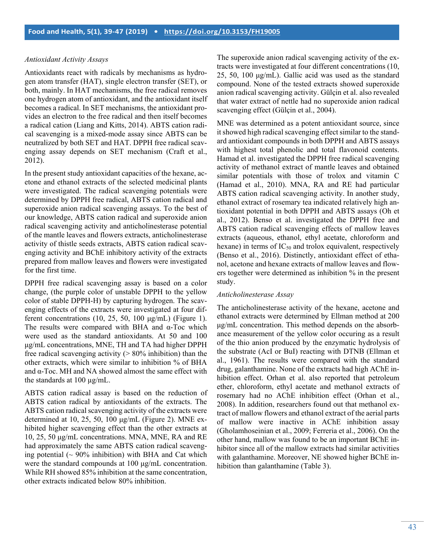#### *Antioxidant Activity Assays*

Antioxidants react with radicals by mechanisms as hydrogen atom transfer (HAT), single electron transfer (SET), or both, mainly. In HAT mechanisms, the free radical removes one hydrogen atom of antioxidant, and the antioxidant itself becomes a radical. In SET mechanisms, the antioxidant provides an electron to the free radical and then itself becomes a radical cation (Liang and Kitts, 2014). ABTS cation radical scavenging is a mixed-mode assay since ABTS can be neutralized by both SET and HAT. DPPH free radical scavenging assay depends on SET mechanism (Craft et al., 2012).

In the present study antioxidant capacities of the hexane, acetone and ethanol extracts of the selected medicinal plants were investigated. The radical scavenging potentials were determined by DPPH free radical, ABTS cation radical and superoxide anion radical scavenging assays. To the best of our knowledge, ABTS cation radical and superoxide anion radical scavenging activity and anticholinesterase potential of the mantle leaves and flowers extracts, anticholinesterase activity of thistle seeds extracts, ABTS cation radical scavenging activity and BChE inhibitory activity of the extracts prepared from mallow leaves and flowers were investigated for the first time.

DPPH free radical scavenging assay is based on a color change, (the purple color of unstable DPPH to the yellow color of stable DPPH-H) by capturing hydrogen. The scavenging effects of the extracts were investigated at four different concentrations  $(10, 25, 50, 100 \mu g/mL)$  (Figure 1). The results were compared with BHA and  $\alpha$ -Toc which were used as the standard antioxidants. At 50 and 100 μg/mL concentrations, MNE, TH and TA had higher DPPH free radical scavenging activity  $(> 80\%$  inhibition) than the other extracts, which were similar to inhibition % of BHA and  $\alpha$ -Toc. MH and NA showed almost the same effect with the standards at 100 µg/mL.

ABTS cation radical assay is based on the reduction of ABTS cation radical by antioxidants of the extracts. The ABTS cation radical scavenging activity of the extracts were determined at 10, 25, 50, 100 μg/mL (Figure 2). MNE exhibited higher scavenging effect than the other extracts at 10, 25, 50 μg/mL concentrations. MNA, MNE, RA and RE had approximately the same ABTS cation radical scavenging potential  $($   $\sim$  90% inhibition) with BHA and Cat which were the standard compounds at 100 μg/mL concentration. While RH showed 85% inhibition at the same concentration, other extracts indicated below 80% inhibition.

The superoxide anion radical scavenging activity of the extracts were investigated at four different concentrations (10, 25, 50, 100 μg/mL). Gallic acid was used as the standard compound. None of the tested extracts showed superoxide anion radical scavenging activity. Gülçin et al. also revealed that water extract of nettle had no superoxide anion radical scavenging effect (Gülçin et al., 2004).

MNE was determined as a potent antioxidant source, since it showed high radical scavenging effect similar to the standard antioxidant compounds in both DPPH and ABTS assays with highest total phenolic and total flavonoid contents. Hamad et al. investigated the DPPH free radical scavenging activity of methanol extract of mantle leaves and obtained similar potentials with those of trolox and vitamin C (Hamad et al., 2010). MNA, RA and RE had particular ABTS cation radical scavenging activity. In another study, ethanol extract of rosemary tea indicated relatively high antioxidant potential in both DPPH and ABTS assays (Oh et al., 2012). Benso et al. investigated the DPPH free and ABTS cation radical scavenging effects of mallow leaves extracts (aqueous, ethanol, ethyl acetate, chloroform and hexane) in terms of  $IC_{50}$  and trolox equivalent, respectively (Benso et al., 2016). Distinctly, antioxidant effect of ethanol, acetone and hexane extracts of mallow leaves and flowers together were determined as inhibition % in the present study.

#### *Anticholinesterase Assay*

The anticholinesterase activity of the hexane, acetone and ethanol extracts were determined by Ellman method at 200 μg/mL concentration. This method depends on the absorbance measurement of the yellow color occuring as a result of the thio anion produced by the enzymatic hydrolysis of the substrate (AcI or BuI) reacting with DTNB (Ellman et al., 1961). The results were compared with the standard drug, galanthamine. None of the extracts had high AChE inhibition effect. Orhan et al. also reported that petroleum ether, chloroform, ethyl acetate and methanol extracts of rosemary had no AChE inhibition effect (Orhan et al., 2008). In addition, researchers found out that methanol extract of mallow flowers and ethanol extract of the aerial parts of mallow were inactive in AChE inhibition assay (Gholamhoseinian et al., 2009; Ferreria et al., 2006). On the other hand, mallow was found to be an important BChE inhibitor since all of the mallow extracts had similar activities with galanthamine. Moreover, NE showed higher BChE inhibition than galanthamine (Table 3).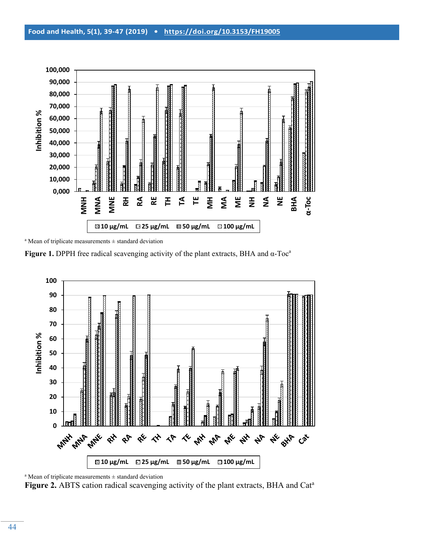

 $a$  Mean of triplicate measurements  $\pm$  standard deviation

**Figure 1.** DPPH free radical scavenging activity of the plant extracts, BHA and α-Toc<sup>a</sup>



 $a$  Mean of triplicate measurements  $\pm$  standard deviation

Figure 2. ABTS cation radical scavenging activity of the plant extracts, BHA and Cat<sup>a</sup>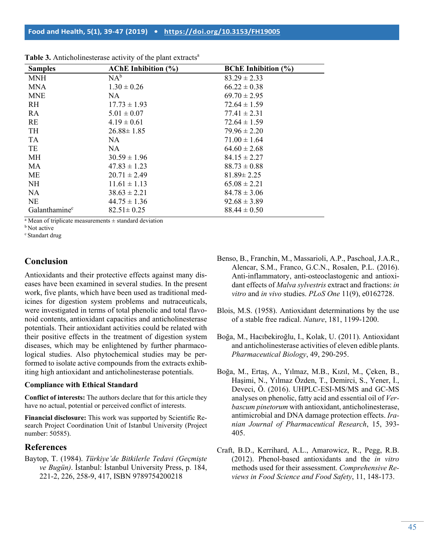| <b>Samples</b>            | <b>AChE</b> Inhibition (%) | <b>BChE</b> Inhibition (%) |
|---------------------------|----------------------------|----------------------------|
| <b>MNH</b>                | $NA^b$                     | $83.29 \pm 2.33$           |
| <b>MNA</b>                | $1.30 \pm 0.26$            | $66.22 \pm 0.38$           |
| <b>MNE</b>                | NA.                        | $69.70 \pm 2.95$           |
| <b>RH</b>                 | $17.73 \pm 1.93$           | $72.64 \pm 1.59$           |
| RA                        | $5.01 \pm 0.07$            | $77.41 \pm 2.31$           |
| <b>RE</b>                 | $4.19 \pm 0.61$            | $72.64 \pm 1.59$           |
| <b>TH</b>                 | $26.88 \pm 1.85$           | $79.96 \pm 2.20$           |
| <b>TA</b>                 | NA.                        | $71.00 \pm 1.64$           |
| TE                        | NA                         | $64.60 \pm 2.68$           |
| <b>MH</b>                 | $30.59 \pm 1.96$           | $84.15 \pm 2.27$           |
| MA                        | $47.83 \pm 1.23$           | $88.73 \pm 0.88$           |
| <b>ME</b>                 | $20.71 \pm 2.49$           | $81.89 \pm 2.25$           |
| <b>NH</b>                 | $11.61 \pm 1.13$           | $65.08 \pm 2.21$           |
| <b>NA</b>                 | $38.63 \pm 2.21$           | $84.78 \pm 3.06$           |
| <b>NE</b>                 | $44.75 \pm 1.36$           | $92.68 \pm 3.89$           |
| Galanthamine <sup>c</sup> | $82.51 \pm 0.25$           | $88.44 \pm 0.50$           |

Table 3. Anticholinesterase activity of the plant extracts<sup>a</sup>

<sup>a</sup> Mean of triplicate measurements  $\pm$  standard deviation

**b**Not active

c Standart drug

## **Conclusion**

Antioxidants and their protective effects against many diseases have been examined in several studies. In the present work, five plants, which have been used as traditional medicines for digestion system problems and nutraceuticals, were investigated in terms of total phenolic and total flavonoid contents, antioxidant capacities and anticholinesterase potentials. Their antioxidant activities could be related with their positive effects in the treatment of digestion system diseases, which may be enlightened by further pharmacological studies. Also phytochemical studies may be performed to isolate active compounds from the extracts exhibiting high antioxidant and anticholinesterase potentials.

### **Compliance with Ethical Standard**

**Conflict of interests:** The authors declare that for this article they have no actual, potential or perceived conflict of interests.

**Financial disclosure:** This work was supported by Scientific Research Project Coordination Unit of Istanbul University (Project number: 50585).

### **References**

Baytop, T. (1984). *Türkiye'de Bitkilerle Tedavi (Geçmişte ve Bugün)*. İstanbul: İstanbul University Press, p. 184, 221-2, 226, 258-9, 417, ISBN 9789754200218

- Benso, B., Franchin, M., Massarioli, A.P., Paschoal, J.A.R., Alencar, S.M., Franco, G.C.N., Rosalen, P.L. (2016). Anti-inflammatory, anti-osteoclastogenic and antioxidant effects of *Malva sylvestris* extract and fractions: *in vitro* and *in vivo* studies. *PLoS One* 11(9), e0162728.
- Blois, M.S. (1958). Antioxidant determinations by the use of a stable free radical. *Nature*, 181, 1199-1200.
- Boğa, M., Hacıbekiroğlu, I., Kolak, U. (2011). Antioxidant and anticholinesterase activities of eleven edible plants. *Pharmaceutical Biology*, 49, 290-295.
- Boğa, M., Ertaş, A., Yılmaz, M.B., Kızıl, M., Çeken, B., Haşimi, N., Yılmaz Özden, T., Demirci, S., Yener, İ., Deveci, Ö. (2016). UHPLC-ESI-MS/MS and GC-MS analyses on phenolic, fatty acid and essential oil of *Verbascum pinetorum* with antioxidant, anticholinesterase, antimicrobial and DNA damage protection effects. *Iranian Journal of Pharmaceutical Research*, 15, 393- 405.
- Craft, B.D., Kerrihard, A.L., Amarowicz, R., Pegg, R.B. (2012). Phenol-based antioxidants and the *in vitro* methods used for their assessment. *Comprehensive Reviews in Food Science and Food Safety*, 11, 148-173.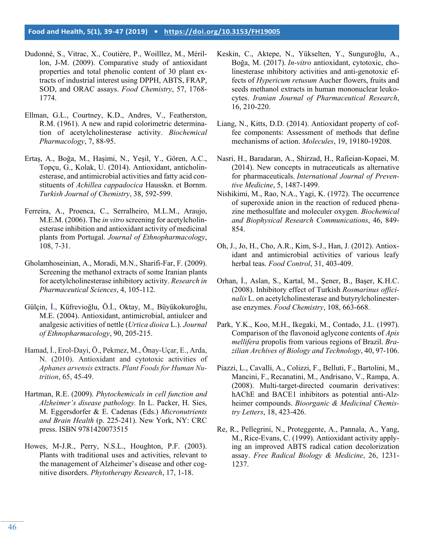- Dudonné, S., Vitrac, X., Coutière, P., Woilllez, M., Mérillon, J-M. (2009). Comparative study of antioxidant properties and total phenolic content of 30 plant extracts of industrial interest using DPPH, ABTS, FRAP, SOD, and ORAC assays. *Food Chemistry*, 57, 1768- 1774.
- Ellman, G.L., Courtney, K.D., Andres, V., Featherston, R.M. (1961). A new and rapid colorimetric determination of acetylcholinesterase activity. *Biochemical Pharmacology*, 7, 88-95.
- Ertaş, A., Boğa, M., Haşimi, N., Yeşil, Y., Gören, A.C., Topçu, G., Kolak, U. (2014). Antioxidant, anticholinesterase, and antimicrobial activities and fatty acid constituents of *Achillea cappadocica* Hausskn. et Bornm. *Turkish Journal of Chemistry*, 38, 592-599.
- Ferreira, A., Proenca, C., Serralheiro, M.L.M., Araujo, M.E.M. (2006). The *in vitro* screening for acetylcholinesterase inhibition and antioxidant activity of medicinal plants from Portugal. *Journal of Ethnopharmacology*, 108, 7-31.
- Gholamhoseinian, A., Moradi, M.N., Sharifi-Far, F. (2009). Screening the methanol extracts of some Iranian plants for acetylcholinesterase inhibitory activity. *Research in Pharmaceutical Sciences*, 4, 105-112.
- Gülçin, İ., Küfrevioğlu, Ö.İ., Oktay, M., Büyükokuroğlu, M.E. (2004). Antioxidant, antimicrobial, antiulcer and analgesic activities of nettle (*Urtica dioica* L.). *Journal of Ethnopharmacology*, 90, 205-215.
- Hamad, İ., Erol-Dayi, Ö., Pekmez, M., Önay-Uçar, E., Arda, N. (2010). Antioxidant and cytotoxic activities of *Aphanes arvensis* extracts. *Plant Foods for Human Nutrition*, 65, 45-49.
- Hartman, R.E. (2009). *Phytochemicals in cell function and Alzheimer's disease pathology.* In L. Packer, H. Sies, M. Eggersdorfer & E. Cadenas (Eds.) *Micronutrients and Brain Health* (p. 225-241). New York, NY: CRC press. ISBN 9781420073515
- Howes, M-J.R., Perry, N.S.L., Houghton, P.F. (2003). Plants with traditional uses and activities, relevant to the management of Alzheimer's disease and other cognitive disorders. *Phytotherapy Research*, 17, 1-18.
- Keskin, C., Aktepe, N., Yükselten, Y., Sunguroğlu, A., Boğa, M. (2017). *In-vitro* antioxidant, cytotoxic, cholinesterase ınhibitory activities and anti-genotoxic effects of *Hypericum retusum* Aucher flowers, fruits and seeds methanol extracts in human mononuclear leukocytes. *Iranian Journal of Pharmaceutical Research*, 16, 210-220.
- Liang, N., Kitts, D.D. (2014). Antioxidant property of coffee components: Assessment of methods that define mechanisms of action. *Molecules*, 19, 19180-19208.
- Nasri, H., Baradaran, A., Shirzad, H., Rafieian-Kopaei, M. (2014). New concepts in nutraceuticals as alternative for pharmaceuticals. *International Journal of Preventive Medicine*, 5, 1487-1499.
- Nishikimi, M., Rao, N.A., Yagi, K. (1972). The occurrence of superoxide anion in the reaction of reduced phenazine methosulfate and moleculer oxygen. *Biochemical and Biophysical Research Communications*, 46, 849- 854.
- Oh, J., Jo, H., Cho, A.R., Kim, S-J., Han, J. (2012). Antioxidant and antimicrobial activities of various leafy herbal teas. *Food Control*, 31, 403-409.
- Orhan, İ., Aslan, S., Kartal, M., Şener, B., Başer, K.H.C. (2008). Inhibitory effect of Turkish *Rosmarinus officinalis* L. on acetylcholinesterase and butyrylcholinesterase enzymes. *Food Chemistry*, 108, 663-668.
- Park, Y.K., Koo, M.H., Ikegaki, M., Contado, J.L. (1997). Comparison of the flavonoid aglycone contents of *Apis mellifera* propolis from various regions of Brazil. *Brazilian Archives of Biology and Technology*, 40, 97-106.
- Piazzi, L., Cavalli, A., Colizzi, F., Belluti, F., Bartolini, M., Mancini, F., Recanatini, M., Andrisano, V., Rampa, A. (2008). Multi-target-directed coumarin derivatives: hAChE and BACE1 inhibitors as potential anti-Alzheimer compounds. *Bioorganic & Medicinal Chemistry Letters*, 18, 423-426.
- Re, R., Pellegrini, N., Proteggente, A., Pannala, A., Yang, M., Rice-Evans, C. (1999). Antioxidant activity applying an improved ABTS radical cation decolorization assay. *Free Radical Biology & Medicine*, 26, 1231- 1237.